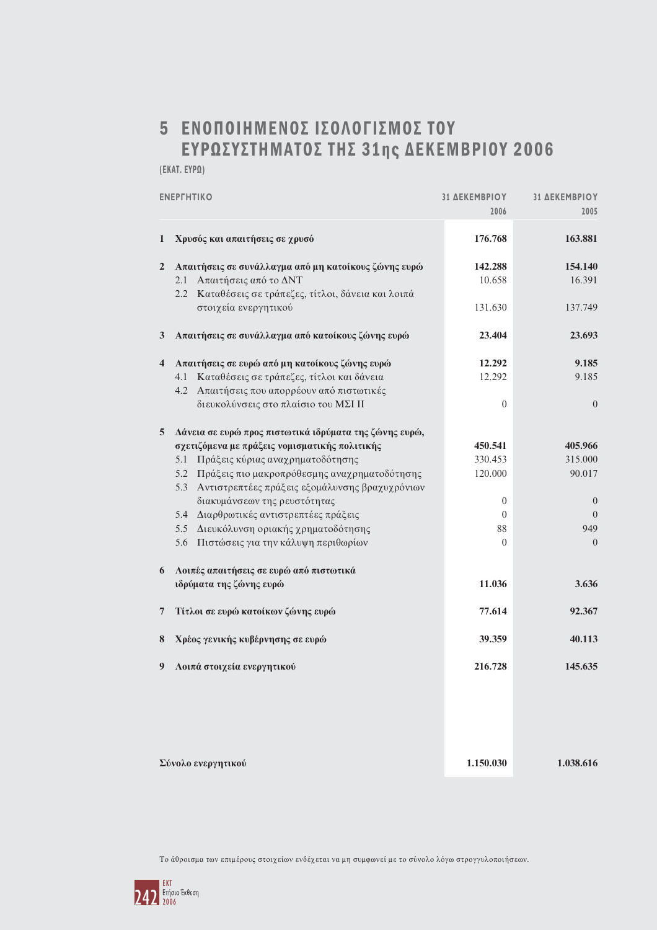## 5 ΕΝΟΠΟΙΗΜΕΝΟΣ ΙΣΟΛΟΓΙΣΜΟΣ ΤΟΥ ΕΥΡΩΣΥΣΤΗΜΑΤΟΣ ΤΗΣ 31ης ΔΕΚΕΜΒΡΙΟΥ 2006

(EKAT. EYPQ)

| <b>ENEPTHTIKO</b>       |                                                        | <b>31 ΔΕΚΕΜΒΡΙΟΥ</b><br>2006 | <b>31 ΔΕΚΕΜΒΡΙΟΥ</b><br>2005 |
|-------------------------|--------------------------------------------------------|------------------------------|------------------------------|
| $\mathbf{1}$            | Χρυσός και απαιτήσεις σε χρυσό                         | 176.768                      | 163.881                      |
| $\overline{2}$          | Απαιτήσεις σε συνάλλαγμα από μη κατοίκους ζώνης ευρώ   | 142.288                      | 154.140                      |
|                         | 2.1 Απαιτήσεις από το ΔΝΤ                              | 10.658                       | 16.391                       |
|                         | 2.2 Καταθέσεις σε τράπεζες, τίτλοι, δάνεια και λοιπά   |                              |                              |
|                         | στοιχεία ενεργητικού                                   | 131.630                      | 137.749                      |
| 3 <sup>1</sup>          | Απαιτήσεις σε συνάλλαγμα από κατοίκους ζώνης ευρώ      | 23.404                       | 23.693                       |
| $\overline{\mathbf{4}}$ | Απαιτήσεις σε ευρώ από μη κατοίκους ζώνης ευρώ         | 12.292                       | 9.185                        |
|                         | Καταθέσεις σε τράπεζες, τίτλοι και δάνεια<br>4.1       | 12.292                       | 9.185                        |
|                         | 4.2<br>Απαιτήσεις που απορρέουν από πιστωτικές         |                              |                              |
|                         | διευκολύνσεις στο πλαίσιο του ΜΣΙ ΙΙ                   | $\overline{0}$               | $\boldsymbol{0}$             |
| 5                       | Δάνεια σε ευρώ προς πιστωτικά ιδρύματα της ζώνης ευρώ, |                              |                              |
|                         | σχετιζόμενα με πράξεις νομισματικής πολιτικής          | 450.541                      | 405.966                      |
|                         | 5.1 Πράξεις κύριας αναχρηματοδότησης                   | 330.453                      | 315.000                      |
|                         | 5.2 Πράξεις πιο μακροπρόθεσμης αναχρηματοδότησης       | 120.000                      | 90.017                       |
|                         | 5.3 Αντιστρεπτέες πράξεις εξομάλυνσης βραχυχρόνιων     |                              |                              |
|                         | διακυμάνσεων της ρευστότητας                           | $\mathbf{0}$                 | $\theta$                     |
|                         | 5.4 Διαρθρωτικές αντιστρεπτέες πράξεις                 | $\theta$                     | $\Omega$                     |
|                         | Διευκόλυνση οριακής χρηματοδότησης<br>5.5              | 88                           | 949                          |
|                         | 5.6<br>Πιστώσεις για την κάλυψη περιθωρίων             | $\overline{0}$               | $\theta$                     |
| 6                       | Λοιπές απαιτήσεις σε ευρώ από πιστωτικά                |                              |                              |
|                         | ιδρύματα της ζώνης ευρώ                                | 11.036                       | 3.636                        |
| 7                       | Τίτλοι σε ευρώ κατοίκων ζώνης ευρώ                     | 77.614                       | 92.367                       |
| 8                       | Χρέος γενικής κυβέρνησης σε ευρώ                       | 39.359                       | 40.113                       |
| 9                       | Λοιπά στοιχεία ενεργητικού                             | 216.728                      | 145.635                      |
|                         |                                                        |                              |                              |
|                         |                                                        |                              |                              |
|                         |                                                        |                              |                              |
|                         |                                                        |                              |                              |

Σύνολο ενεργητικού

1.038.616

1.150.030

Το άθροισμα των επιμέρους στοιχείων ενδέχεται να μη συμφωνεί με το σύνολο λόγω στρογγυλοποιήσεων.